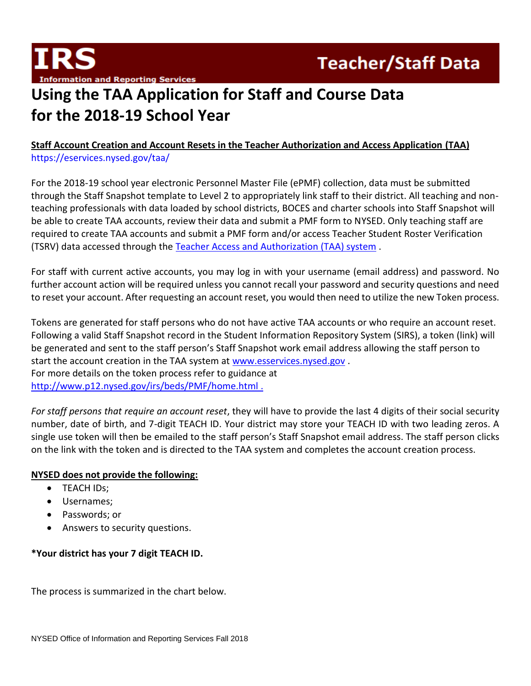

# **Using the TAA Application for Staff and Course Data for the 2018-19 School Year**

## **Staff Account Creation and Account Resets in the Teacher Authorization and Access Application (TAA)** <https://eservices.nysed.gov/taa/>

For the 2018-19 school year electronic Personnel Master File (ePMF) collection, data must be submitted through the Staff Snapshot template to Level 2 to appropriately link staff to their district. All teaching and nonteaching professionals with data loaded by school districts, BOCES and charter schools into Staff Snapshot will be able to create TAA accounts, review their data and submit a PMF form to NYSED. Only teaching staff are required to create TAA accounts and submit a PMF form and/or access Teacher Student Roster Verification (TSRV) data accessed through the [Teacher Access and Authorization \(TAA\) system](https://eservices.nysed.gov/taa/) .

For staff with current active accounts, you may log in with your username (email address) and password. No further account action will be required unless you cannot recall your password and security questions and need to reset your account. After requesting an account reset, you would then need to utilize the new Token process.

Tokens are generated for staff persons who do not have active TAA accounts or who require an account reset. Following a valid Staff Snapshot record in the Student Information Repository System (SIRS), a token (link) will be generated and sent to the staff person's Staff Snapshot work email address allowing the staff person to start the account creation in the TAA system at [www.esservices.nysed.gov](http://www.esservices.nysed.gov/) . For more details on the token process refer to guidance at <http://www.p12.nysed.gov/irs/beds/PMF/home.html> .

*For staff persons that require an account reset*, they will have to provide the last 4 digits of their social security number, date of birth, and 7-digit TEACH ID. Your district may store your TEACH ID with two leading zeros. A single use token will then be emailed to the staff person's Staff Snapshot email address. The staff person clicks on the link with the token and is directed to the TAA system and completes the account creation process.

### **NYSED does not provide the following:**

- **TEACH IDs:**
- Usernames;
- Passwords; or
- Answers to security questions.

## **\*Your district has your 7 digit TEACH ID.**

The process is summarized in the chart below.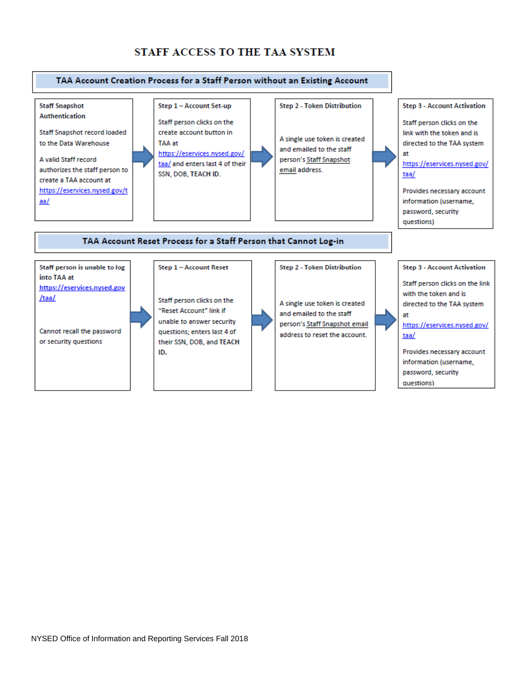## STAFF ACCESS TO THE TAA SYSTEM

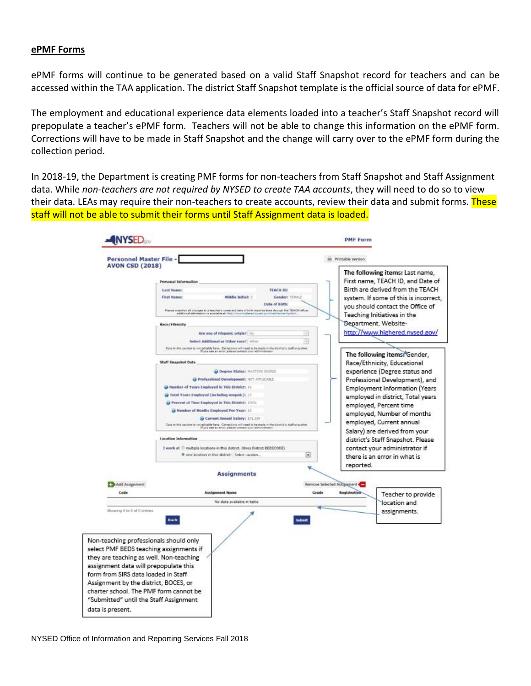#### **ePMF Forms**

ePMF forms will continue to be generated based on a valid Staff Snapshot record for teachers and can be accessed within the TAA application. The district Staff Snapshot template is the official source of data for ePMF.

The employment and educational experience data elements loaded into a teacher's Staff Snapshot record will prepopulate a teacher's ePMF form. Teachers will not be able to change this information on the ePMF form. Corrections will have to be made in Staff Snapshot and the change will carry over to the ePMF form during the collection period.

In 2018-19, the Department is creating PMF forms for non-teachers from Staff Snapshot and Staff Assignment data. While *non-teachers are not required by NYSED to create TAA accounts*, they will need to do so to view their data. LEAs may require their non-teachers to create accounts, review their data and submit forms. These staff will not be able to submit their forms until Staff Assignment data is loaded.

| Personnel Master File -<br><b>AVON CSD (2018)</b>                                                                                                                                                                                                     |                                                                                                                                                                                                                                                                                                                                      | im Printable Version                                                                                                                             |
|-------------------------------------------------------------------------------------------------------------------------------------------------------------------------------------------------------------------------------------------------------|--------------------------------------------------------------------------------------------------------------------------------------------------------------------------------------------------------------------------------------------------------------------------------------------------------------------------------------|--------------------------------------------------------------------------------------------------------------------------------------------------|
|                                                                                                                                                                                                                                                       | <b>Personal Information</b>                                                                                                                                                                                                                                                                                                          | The following items: Last name,<br>First name, TEACH ID, and Date of                                                                             |
|                                                                                                                                                                                                                                                       | <b>Last Name:</b><br><b>TEACH ID:</b><br>First Name:<br>Gender: FEHALE<br>Middle Initial: I<br>Date of Sirth:<br>Please rote that all charges to a teacher's name and date of timit meet be done through the TEACH affice:<br>eität unat istunekiin ja avaitelle at. In                                                              | Birth are derived from the TEACH<br>system. If some of this is incorrect.<br>you should contact the Office of<br>Teaching Initiatives in the     |
|                                                                                                                                                                                                                                                       | Race/Ethnicity<br>Are you of Hispanic origin? Ho<br>Select Additional or Other race? While                                                                                                                                                                                                                                           | Bepartment. Website-<br>http://www.highered.nysed.gov/                                                                                           |
|                                                                                                                                                                                                                                                       | Data in this section is not gainfield hare. Computions will need to be made in the district's staff stratches.<br>If you was an arror, please contact your administrator<br><b>Staff Snapshot Data</b><br>O Degree Status; MASTERS DODGES                                                                                            | The following items: Gender,<br>Race/Ethnicity, Educational<br>experience (Degree status and                                                     |
|                                                                                                                                                                                                                                                       | Professional Development: NOT APPLICABLE<br>Tweeber of Years Employed in This District: 10<br>a) Total Years Engloyed (including normals.): 22                                                                                                                                                                                       | Professional Development), and<br><b>Employment Information (Years)</b>                                                                          |
|                                                                                                                                                                                                                                                       | <sup>2</sup> Percent of Time Employed in This District: 10th<br><sup>2</sup> Number of Months Employed Per Year: 10<br>Current Annual Salary: \$71,239                                                                                                                                                                               | employed in district, Total years<br>employed, Percent time<br>employed, Number of months<br>employed, Current annual                            |
|                                                                                                                                                                                                                                                       | Outs in this section is not admitte here. Computing will meet to be made in the district's staff shapebot.<br>If you see at arror, places contact your administratic<br>Location Information<br>I work at C multiple locations in this district. (Uses District BEDSCODE)<br># one location in this district:   Solect Location<br>u | Salary) are derived from your<br>district's Staff Snapshot. Please<br>contact your administrator if<br>there is an error in what is<br>reported. |
|                                                                                                                                                                                                                                                       | <b>Assignments</b>                                                                                                                                                                                                                                                                                                                   |                                                                                                                                                  |
| Add Assignment                                                                                                                                                                                                                                        |                                                                                                                                                                                                                                                                                                                                      | Remove Selected Assignment                                                                                                                       |
| Code                                                                                                                                                                                                                                                  | <b>Assignment Name</b><br>No data available in table                                                                                                                                                                                                                                                                                 | Grade<br>Registration<br>Teacher to provide<br>location and                                                                                      |
| Showing 0 to 0 of 0 sintries                                                                                                                                                                                                                          | Back                                                                                                                                                                                                                                                                                                                                 | assignments.                                                                                                                                     |
| Non-teaching professionals should only<br>select PMF BEDS teaching assignments if<br>they are teaching as well. Non-teaching<br>assignment data will prepopulate this<br>form from SIRS data loaded in Staff<br>Assignment by the district, BOCES, or |                                                                                                                                                                                                                                                                                                                                      |                                                                                                                                                  |

NYSED Office of Information and Reporting Services Fall 2018